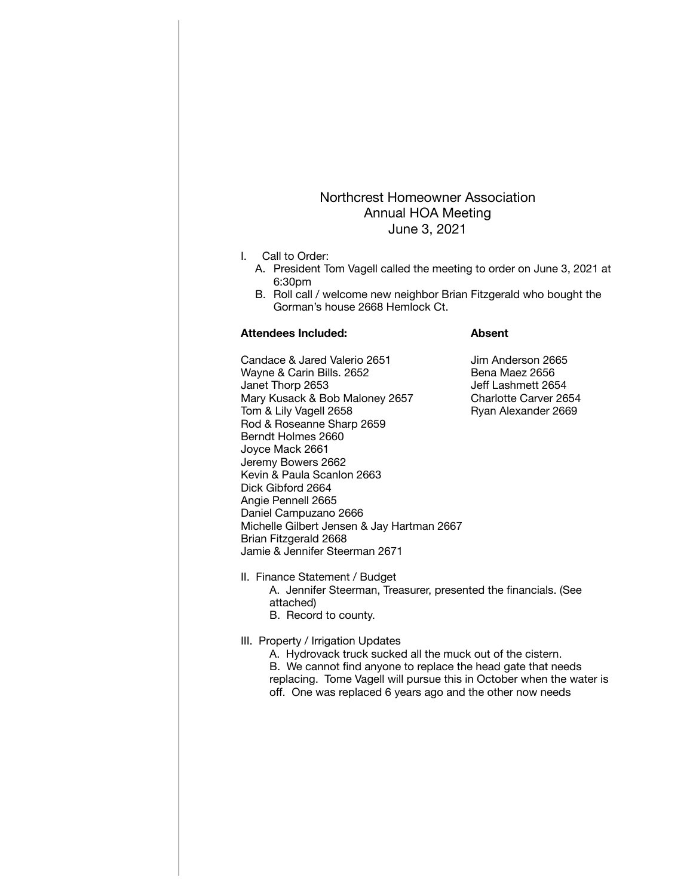## Northcrest Homeowner Association Annual HOA Meeting June 3, 2021

- I. Call to Order:
	- A. President Tom Vagell called the meeting to order on June 3, 2021 at 6:30pm
	- B. Roll call / welcome new neighbor Brian Fitzgerald who bought the Gorman's house 2668 Hemlock Ct.

## **Attendees Included: Absent**

Candace & Jared Valerio 2651 Jim Anderson 2665 Wayne & Carin Bills. 2652 Bena Maez 2656 Janet Thorp 2653 Jeff Lashmett 2654 Mary Kusack & Bob Maloney 2657 Charlotte Carver 2654<br>Tom & Lily Vagell 2658 Company Ryan Alexander 2669 Tom & Lily Vagell 2658 Rod & Roseanne Sharp 2659 Berndt Holmes 2660 Joyce Mack 2661 Jeremy Bowers 2662 Kevin & Paula Scanlon 2663 Dick Gibford 2664 Angie Pennell 2665 Daniel Campuzano 2666 Michelle Gilbert Jensen & Jay Hartman 2667 Brian Fitzgerald 2668 Jamie & Jennifer Steerman 2671

- II. Finance Statement / Budget A. Jennifer Steerman, Treasurer, presented the financials. (See attached) B. Record to county.
- III. Property / Irrigation Updates
	- A. Hydrovack truck sucked all the muck out of the cistern. B. We cannot find anyone to replace the head gate that needs replacing. Tome Vagell will pursue this in October when the water is off. One was replaced 6 years ago and the other now needs